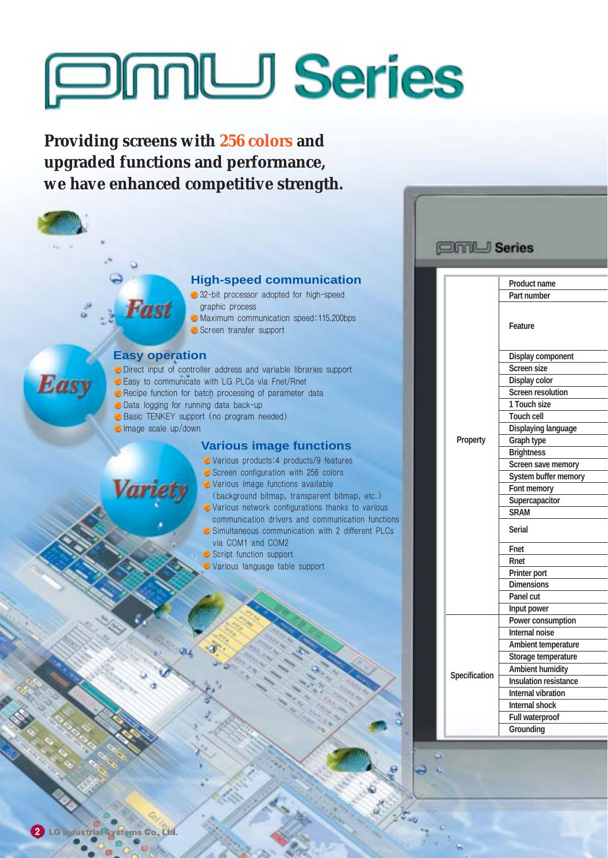# **Series**

**Providing screens with 256 colors and upgraded functions and performance, we have enhanced competitive strength.**



- 32-bit processor adopted for high-speed graphic process
- Maximum communication speed:115,200bps Screen transfer support

# **Easy operation**

**Fast** 

**Easy** 

- Direct input of controller address and variable libraries support
- Easy to communicate with LG PLCs via Fnet/Rnet
- Recipe function for batch processing of parameter data
- **O** Data logging for running data back-up
- **Basic TENKEY support (no program needed)**
- Image scale up/down

Varie

#### **Various image functions**

- Various products:4 products/9 features
- Screen configuration with 256 colors
- Various image functions available
- (background bitmap, transparent bitmap, etc.) Various network configurations thanks to various communication drivers and communication functions
- $\bullet$  Simultaneous communication with 2 different PLCs via COM1 and COM2
- **Script function support**
- Various language table support

| <b>Series</b>   |                              |
|-----------------|------------------------------|
|                 |                              |
|                 | <b>Product name</b>          |
|                 | Part number                  |
|                 |                              |
|                 | <b>Feature</b>               |
|                 | <b>Display component</b>     |
|                 | <b>Screen size</b>           |
|                 | Display color                |
|                 | <b>Screen resolution</b>     |
|                 | 1 Touch size                 |
|                 | <b>Touch cell</b>            |
|                 | Displaying language          |
| <b>Property</b> | Graph type                   |
|                 | <b>Brightness</b>            |
|                 | <b>Screen save memory</b>    |
|                 | System buffer memory         |
|                 | Font memory                  |
|                 | Supercapacitor               |
|                 | <b>SRAM</b>                  |
|                 | <b>Serial</b>                |
|                 | Fnet                         |
|                 | Rnet                         |
|                 | <b>Printer port</b>          |
|                 | <b>Dimensions</b>            |
|                 | Panel cut                    |
|                 | Input power                  |
|                 | Power consumption            |
|                 | Internal noise               |
|                 | Ambient temperature          |
|                 | Storage temperature          |
| Specification   | <b>Ambient humidity</b>      |
|                 | <b>Insulation resistance</b> |
|                 | <b>Internal vibration</b>    |
|                 | Internal shock               |
|                 | <b>Full waterproof</b>       |
|                 | Grounding                    |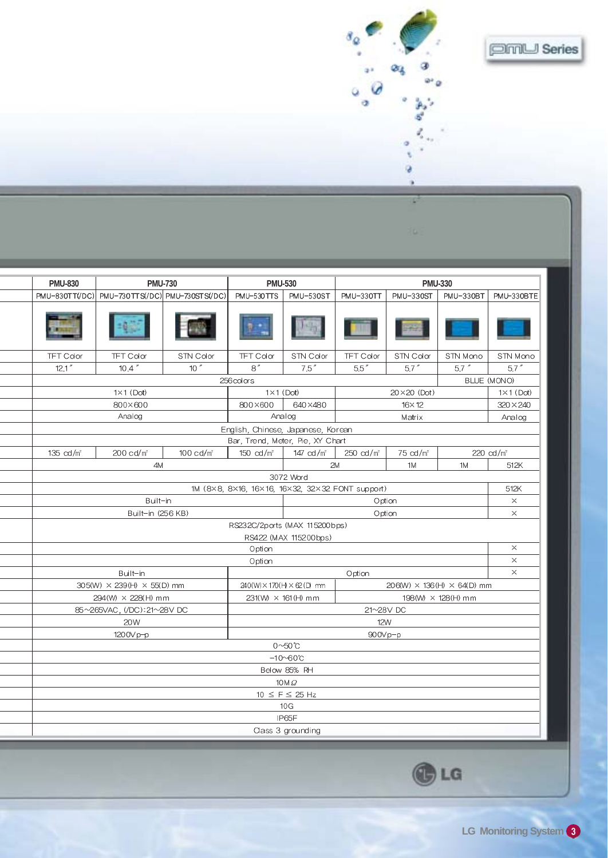| $\delta_{\alpha}$ | <b>EMU</b> Series |
|-------------------|-------------------|
|                   |                   |
|                   |                   |

| <b>PMU-830</b>                                           | <b>PMU-730</b>                  |                      | <b>PMU-530</b>                     |                                                                      | <b>PMU-330</b>                      |                                                 |           |                       |  |  |  |
|----------------------------------------------------------|---------------------------------|----------------------|------------------------------------|----------------------------------------------------------------------|-------------------------------------|-------------------------------------------------|-----------|-----------------------|--|--|--|
| PMU-830TT(/DC)                                           | PMU-730TTS(/DC) PMU-730STS(/DC) |                      | PMU-530ST<br>PMU-530TTS            |                                                                      | PMU-330TT<br>PMU-330ST<br>PMU-330BT |                                                 |           | PMU-330BTE            |  |  |  |
|                                                          |                                 |                      |                                    |                                                                      |                                     |                                                 |           |                       |  |  |  |
| <b>TFT Color</b>                                         | <b>TFT Color</b>                | STN Color            | <b>TFT Color</b>                   | STN Color                                                            | <b>TFT Color</b>                    | STN Color                                       | STN Mono  | STN Mono              |  |  |  |
| 12.1''                                                   | 10.4''                          | 10''                 | 8''                                | 7.5''                                                                | $5.5''$                             | $5.7$ "                                         | $5.7$ $"$ | $5.7$ "               |  |  |  |
|                                                          |                                 |                      | 256 colors                         |                                                                      |                                     |                                                 |           | BLUE (MONO)           |  |  |  |
|                                                          | $1 \times 1$ (Dot)              |                      | $1 \times 1$ (Dot)                 |                                                                      |                                     | $1 \times 1$ (Dot)                              |           |                       |  |  |  |
|                                                          | 800×600                         |                      | 800×600                            | 640×480                                                              |                                     | $16\times12$                                    |           | $320 \times 240$      |  |  |  |
|                                                          | Analog                          |                      | Analog                             |                                                                      |                                     | Matrix                                          |           | Analog                |  |  |  |
|                                                          |                                 |                      | English, Chinese, Japanese, Korean |                                                                      |                                     |                                                 |           |                       |  |  |  |
|                                                          |                                 |                      | Bar, Trend, Meter, Pie, XY Chart   |                                                                      |                                     |                                                 |           |                       |  |  |  |
| 135 cd/m <sup>2</sup>                                    | 200 cd/m <sup>2</sup>           | $100 \text{ cd/m}^2$ | 150 $cd/m^2$                       | 147 $cd/m^2$                                                         | 250 cd/m <sup>2</sup>               | 75 cd/m <sup>2</sup>                            |           | 220 cd/m <sup>2</sup> |  |  |  |
|                                                          | 4M                              |                      |                                    | 2M                                                                   |                                     | 1M                                              | 1M        | 512K                  |  |  |  |
| 3072 Word                                                |                                 |                      |                                    |                                                                      |                                     |                                                 |           |                       |  |  |  |
| 1M (8×8, 8×16, 16×16, 16×32, 32×32 FONT support)<br>512K |                                 |                      |                                    |                                                                      |                                     |                                                 |           |                       |  |  |  |
|                                                          | Built-in                        |                      |                                    |                                                                      | $\times$                            |                                                 |           |                       |  |  |  |
|                                                          | Built-in (256 KB)               |                      |                                    |                                                                      | $\times$                            |                                                 |           |                       |  |  |  |
|                                                          |                                 |                      | RS232C/2ports (MAX 115200bps)      |                                                                      |                                     |                                                 |           |                       |  |  |  |
|                                                          |                                 |                      |                                    | RS422 (MAX 115200bps)                                                |                                     |                                                 |           |                       |  |  |  |
| Option                                                   |                                 |                      |                                    |                                                                      |                                     |                                                 |           | $\times$              |  |  |  |
|                                                          |                                 |                      | Option                             |                                                                      |                                     |                                                 |           | $\times$              |  |  |  |
| Built-in<br>Option                                       |                                 |                      |                                    |                                                                      |                                     |                                                 | $\times$  |                       |  |  |  |
|                                                          | 305(W) × 239(H) × 55(D) mm      |                      |                                    | 240(W) × 170(H) × 62(D) mm<br>$206(W) \times 136(H) \times 64(D)$ mm |                                     |                                                 |           |                       |  |  |  |
|                                                          | 294(W) × 228(H) mm              |                      |                                    |                                                                      |                                     | $231(W) \times 161(H)$ mm<br>198(W) × 128(H) mm |           |                       |  |  |  |
|                                                          | 85~265VAC, (/DC): 21~28V DC     |                      |                                    | 21~28V DC                                                            |                                     |                                                 |           |                       |  |  |  |
| 20W<br><b>12W</b>                                        |                                 |                      |                                    |                                                                      |                                     |                                                 |           |                       |  |  |  |
| 1200Vp-p<br>900Vp-p                                      |                                 |                      |                                    |                                                                      |                                     |                                                 |           |                       |  |  |  |
|                                                          |                                 |                      |                                    | $0^{\sim}50^{\circ}$ C                                               |                                     |                                                 |           |                       |  |  |  |
|                                                          | $-10\nu 60^\circ C$             |                      |                                    |                                                                      |                                     |                                                 |           |                       |  |  |  |
| Below 85% RH                                             |                                 |                      |                                    |                                                                      |                                     |                                                 |           |                       |  |  |  |
| $10M\Omega$                                              |                                 |                      |                                    |                                                                      |                                     |                                                 |           |                       |  |  |  |
| $10 \leq F \leq 25$ Hz                                   |                                 |                      |                                    |                                                                      |                                     |                                                 |           |                       |  |  |  |
|                                                          |                                 |                      |                                    | 10 <sub>G</sub>                                                      |                                     |                                                 |           |                       |  |  |  |
| IP65F                                                    |                                 |                      |                                    |                                                                      |                                     |                                                 |           |                       |  |  |  |
| Class 3 grounding                                        |                                 |                      |                                    |                                                                      |                                     |                                                 |           |                       |  |  |  |
|                                                          |                                 |                      |                                    |                                                                      |                                     |                                                 |           |                       |  |  |  |

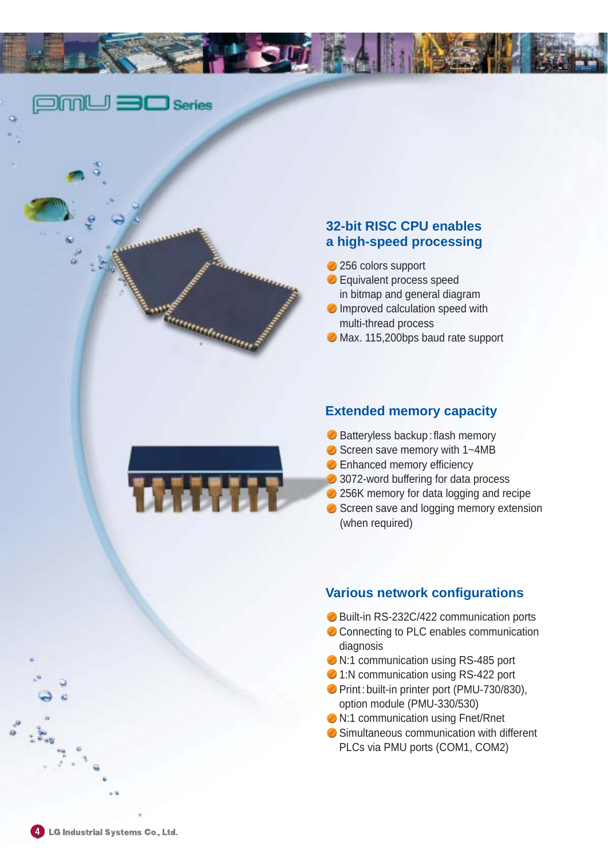$\Box$ m $\Box$   $\Box$  Series

**Complete de la Communicación de la Communicación de la Communicación de la Communicación de la Communicación** 

# **32-bit RISC CPU enables a high-speed processing**

- 256 colors support
- **Equivalent process speed** in bitmap and general diagram
- **O** Improved calculation speed with multi-thread process
- **◆ Max. 115,200bps baud rate support**

# **Extended memory capacity**

- **◯ Batteryless backup: flash memory**
- Screen save memory with 1~4MB
- **Enhanced memory efficiency**
- 3072-word buffering for data process
- 256K memory for data logging and recipe
- Screen save and logging memory extension (when required)

#### **Various network configurations**

- **◯ Built-in RS-232C/422 communication ports**
- Connecting to PLC enables communication diagnosis
- **◆ N:1 communication using RS-485 port**
- **◯ 1:N communication using RS-422 port**
- **Print : built-in printer port (PMU-730/830),** option module (PMU-330/530)
- **◆ N:1 communication using Fnet/Rnet**
- **◯ Simultaneous communication with different** PLCs via PMU ports (COM1, COM2)

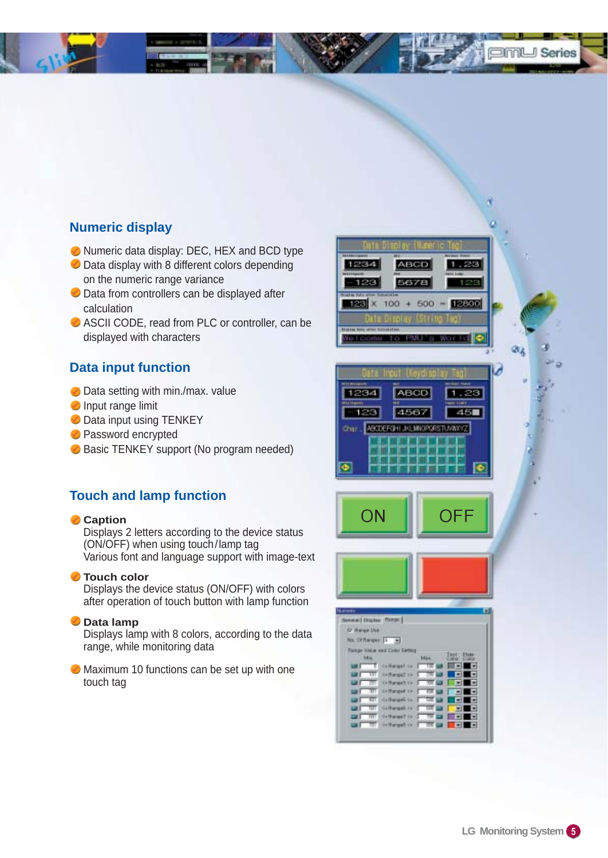

# **Numeric display**

- Numeric data display: DEC, HEX and BCD type
- **◯** Data display with 8 different colors depending on the numeric range variance
- $\bullet$  Data from controllers can be displayed after calculation
- **⊘** ASCII CODE, read from PLC or controller, can be displayed with characters

# **Data input function**

- **O** Data setting with min./max. value
- **Input range limit**
- **Data input using TENKEY**
- **Password encrypted**
- Basic TENKEY support (No program needed)

# **Touch and lamp function**

#### **Caption**

Displays 2 letters according to the device status (ON/OFF) when using touch/lamp tag Various font and language support with image-text

#### **Touch color**

Displays the device status (ON/OFF) with colors after operation of touch button with lamp function

#### **Data lamp**

Displays lamp with 8 colors, according to the data range, while monitoring data

**Maximum 10 functions can be set up with one** touch tag

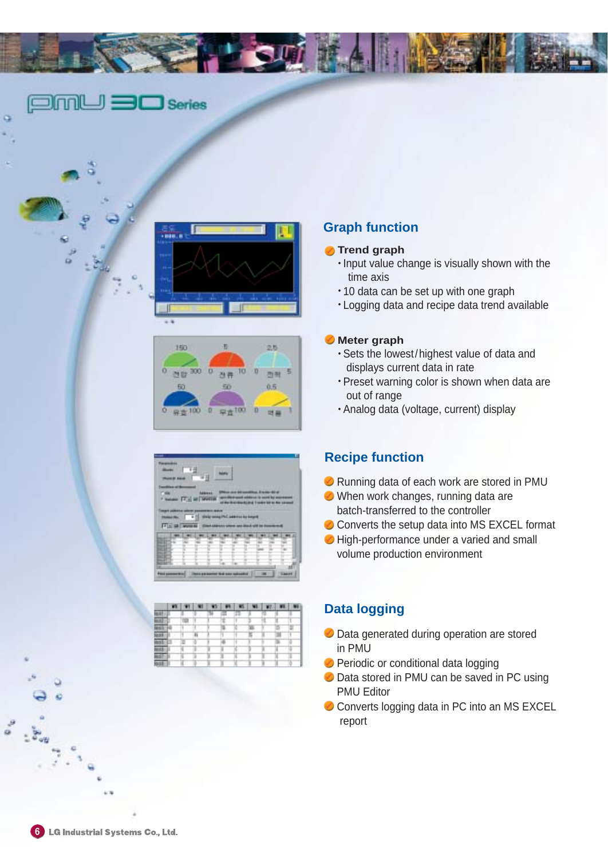

# $\square$ m $\square$   $\square$  Series





|                                    |                 | W. |                             |                                             |  |                 |
|------------------------------------|-----------------|----|-----------------------------|---------------------------------------------|--|-----------------|
| <b>THE</b><br>twide (F.) at Writer | <b>Address:</b> |    |                             |                                             |  |                 |
|                                    |                 |    |                             | <b>Warrent collection Cuff parent sales</b> |  | <b>ALCOHOL:</b> |
| 11 = 13 www.ss                     |                 |    | <b>Allega A.S. Furthern</b> |                                             |  |                 |
|                                    |                 |    |                             |                                             |  |                 |
|                                    |                 |    |                             |                                             |  |                 |
|                                    |                 |    |                             |                                             |  |                 |
|                                    |                 |    |                             |                                             |  |                 |
|                                    |                 |    |                             |                                             |  |                 |

|                 |                     |        |  | в |   |  |  |
|-----------------|---------------------|--------|--|---|---|--|--|
|                 |                     |        |  |   |   |  |  |
| <b>WELL</b>     |                     |        |  |   |   |  |  |
|                 | π                   | . .    |  |   | m |  |  |
| <b>Book (B)</b> |                     | π      |  |   |   |  |  |
|                 | <b>Both (2)</b> (2) | $-100$ |  |   |   |  |  |
| п<br>m          |                     |        |  |   |   |  |  |
|                 |                     |        |  |   |   |  |  |
|                 |                     |        |  |   |   |  |  |

# **Graph function**

#### **Trend graph**

- Input value change is visually shown with the time axis
- $\cdot$  10 data can be set up with one graph
- Logging data and recipe data trend available

#### **Meter graph**

- Sets the lowest/highest value of data and displays current data in rate
- Preset warning color is shown when data are out of range
- Analog data (voltage, current) display

# **Recipe function**

- **▶ Running data of each work are stored in PMU**
- When work changes, running data are batch-transferred to the controller
- Converts the setup data into MS EXCEL format
- $\bullet$  High-performance under a varied and small volume production environment

# **Data logging**

- **O** Data generated during operation are stored in PMU
- **Periodic or conditional data logging**
- **◯** Data stored in PMU can be saved in PC using PMU Editor
- Converts logging data in PC into an MS EXCEL report